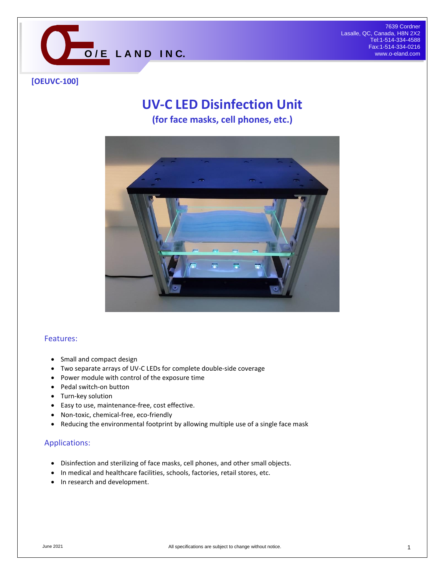

### **[OEUVC-100]**

# **UV-C LED Disinfection Unit**

**(for face masks, cell phones, etc.)**



#### Features:

- Small and compact design
- Two separate arrays of UV-C LEDs for complete double-side coverage
- Power module with control of the exposure time
- Pedal switch-on button
- Turn-key solution
- Easy to use, maintenance-free, cost effective.
- Non-toxic, chemical-free, eco-friendly
- Reducing the environmental footprint by allowing multiple use of a single face mask

#### Applications:

- Disinfection and sterilizing of face masks, cell phones, and other small objects.
- In medical and healthcare facilities, schools, factories, retail stores, etc.
- In research and development.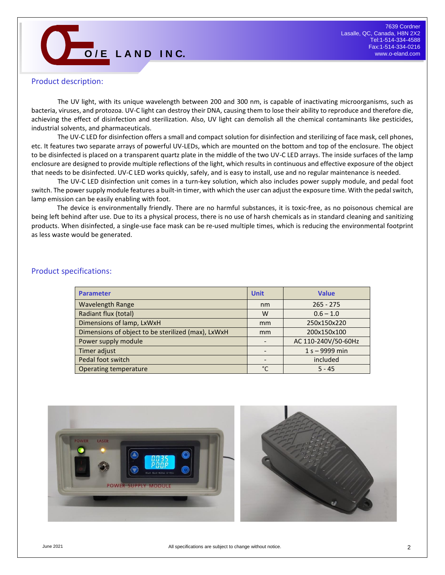<sup>7639</sup> Cordner Lasalle, QC, Canada, H8N 2X2<br>
Tel:1-514-334-4588<br> **O** */* **E L A N D I N C.** *Canada, H8N 2X2*<br>
Tel:1-514-334-4588<br>
Fax:1-514-334-0216 Tel:1-514-334-4588 Fax:1-514-334-0216 www.o-eland.com

#### Product description:

The UV light, with its unique wavelength between 200 and 300 nm, is capable of inactivating microorganisms, such as bacteria, viruses, and protozoa. UV-C light can destroy their DNA, causing them to lose their ability to reproduce and therefore die, achieving the effect of disinfection and sterilization. Also, UV light can demolish all the chemical contaminants like pesticides, industrial solvents, and pharmaceuticals.

The UV-C LED for disinfection offers a small and compact solution for disinfection and sterilizing of face mask, cell phones, etc. It features two separate arrays of powerful UV-LEDs, which are mounted on the bottom and top of the enclosure. The object to be disinfected is placed on a transparent quartz plate in the middle of the two UV-C LED arrays. The inside surfaces of the lamp enclosure are designed to provide multiple reflections of the light, which results in continuous and effective exposure of the object that needs to be disinfected. UV-C LED works quickly, safely, and is easy to install, use and no regular maintenance is needed.

The UV-C LED disinfection unit comes in a turn-key solution, which also includes power supply module, and pedal foot switch. The power supply module features a built-in timer, with which the user can adjust the exposure time. With the pedal switch, lamp emission can be easily enabling with foot.

The device is environmentally friendly. There are no harmful substances, it is toxic-free, as no poisonous chemical are being left behind after use. Due to its a physical process, there is no use of harsh chemicals as in standard cleaning and sanitizing products. When disinfected, a single-use face mask can be re-used multiple times, which is reducing the environmental footprint as less waste would be generated.

#### Product specifications:

| <b>Parameter</b>                                   | <b>Unit</b>  | <b>Value</b>        |
|----------------------------------------------------|--------------|---------------------|
| <b>Wavelength Range</b>                            | nm           | $265 - 275$         |
| Radiant flux (total)                               | W            | $0.6 - 1.0$         |
| Dimensions of lamp, LxWxH                          | mm           | 250x150x220         |
| Dimensions of object to be sterilized (max), LxWxH | mm           | 200x150x100         |
| Power supply module                                |              | AC 110-240V/50-60Hz |
| Timer adjust                                       |              | $1 s - 9999$ min    |
| Pedal foot switch                                  |              | included            |
| Operating temperature                              | $^{\circ}$ C | $5 - 45$            |